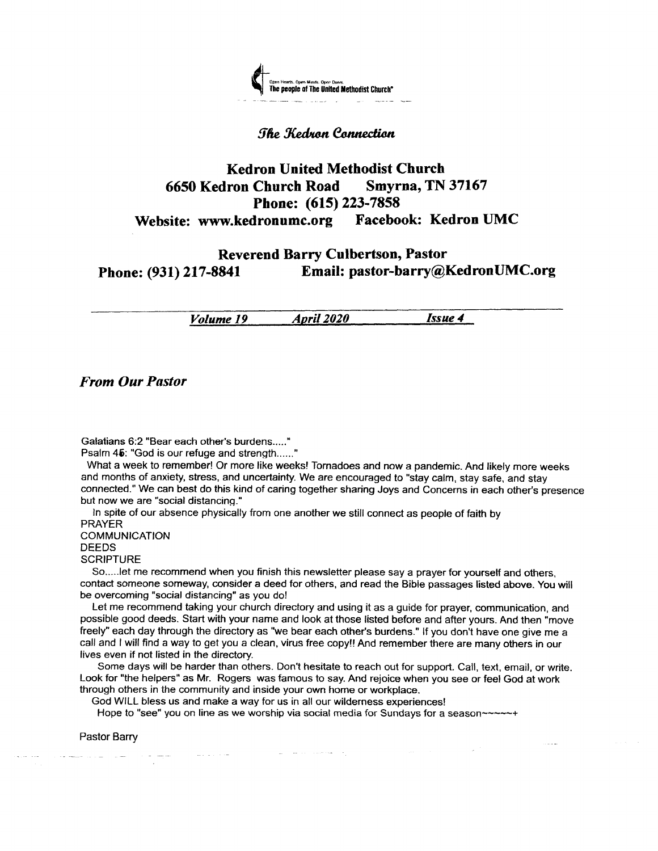

#### **The Kedron Connection**

# Kedron United Methodist Church <sup>6650</sup>Kedron Church Road Smyrna, TN <sup>37167</sup> Phone: (615) 223-7858 Website: www.kedronumc.org Facebook: Kedron UMC

## Reverend Barry Culbertson, Pastor Phone: (931) 217-8841 Email: pastor-barry@KedronUMC.org

Volume 19 *April 2020 Issue 4* 

From Our Pastor

Galatians 6:2 "Bear each other's burdens....."

Psalm 45: "God is our refuge and strength......"

What a week to remember! Or more like weeks! Tornadoes and now a pandemic. And likely more weeks and months of anxiety, stress, and uncertainty. We are encouraged to "stay calm, stay safe, and stay connected." We can best do this kind of caring together sharing Joys and Concerns in each other's presence but now we are "social distancing."

ln spite of our absence physically from one another we still connect as people of faith by PRAYER

COMMUNICATION DEEDS **SCRIPTURE** 

So.....let me recommend when you finish this newsletter please say a prayer for yoursetf and others, contact someone someway, consider a deed for others, and read the Bible passages listed above. You will be overcoming "social distancing" as you do!

Let me recommend taking your church directory and using it as a guide for prayer, communication, and possible good deeds. Start with your name and look at those listed before and afier yours. And then "move freely" each day through the directory as "we bear each other's burdens." lf you don't have one give me a call and I will find a way to get you a clean, virus free copyl! And remember there are many others in our lives even if not listed in the directory.

Some days will be harder than others. Don't hesitate to reach out for support. Call, text, email, or write. Look for "the helpers" as Mr. Rogers was famous to say. And rejoice when you see or feel God at work through others in the community and inside your own home or workplace.

God WILL bless us and make a way for us in all our wilderness experiences!

Hope to "see" you on line as we worship via social media for Sundays for a season~~~~~+

Pastor Barry